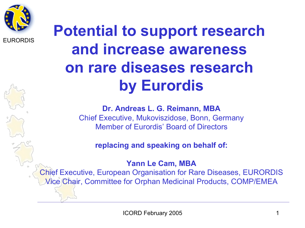

## **Potential to support research and increase awareness on rare diseases research by Eurordis**

**Dr. Andreas L. G. Reimann, MBA**  Chief Executive, Mukoviszidose, Bonn, Germany Member of Eurordis' Board of Directors

**replacing and speaking on behalf of:** 

**Yann Le Cam, MBA** 

Chief Executive, European Organisation for Rare Diseases, EURORDIS Vice Chair, Committee for Orphan Medicinal Products, COMP/EMEA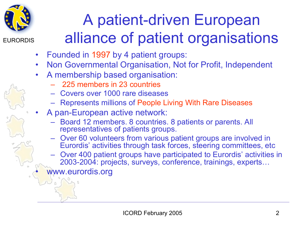

# A patient-driven European alliance of patient organisations

- Founded in 1997 by 4 patient groups:
- Non Governmental Organisation, Not for Profit, Independent
- A membership based organisation:
	- 225 members in 23 countries
	- Covers over 1000 rare diseases
	- Represents millions of People Living With Rare Diseases
- A pan-European active network:
	- Board 12 members. 8 countries. 8 patients or parents. All representatives of patients groups.
	- Over 60 volunteers from various patient groups are involved in Eurordis' activities through task forces, steering committees, etc
	- Over 400 patient groups have participated to Eurordis' activities in 2003-2004: projects, surveys, conference, trainings, experts…

www.eurordis.org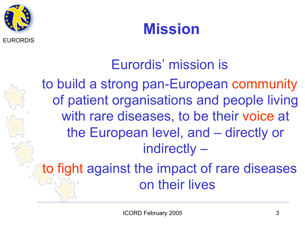



### Eurordis' mission is

to build a strong pan-European community of patient organisations and people living with rare diseases, to be their voice at the European level, and – directly or indirectly –

to fight against the impact of rare diseases on their lives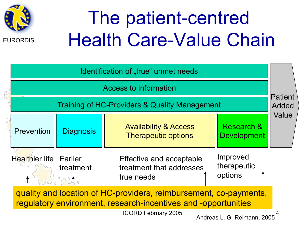

# The patient-centred Health Care-Value Chain

| Identification of "true" unmet needs                                                                                                                              |                   |                                                                    |                                    |       |  |  |
|-------------------------------------------------------------------------------------------------------------------------------------------------------------------|-------------------|--------------------------------------------------------------------|------------------------------------|-------|--|--|
| <b>Access to information</b>                                                                                                                                      |                   |                                                                    |                                    |       |  |  |
| Training of HC-Providers & Quality Management                                                                                                                     |                   |                                                                    |                                    |       |  |  |
| Prevention                                                                                                                                                        | <b>Diagnosis</b>  | <b>Availability &amp; Access</b><br><b>Therapeutic options</b>     | Research &<br><b>Development</b>   | Value |  |  |
| <b>Healthier life Earlier</b>                                                                                                                                     | treatment<br>MB O | Effective and acceptable<br>treatment that addresses<br>true needs | Improved<br>therapeutic<br>options |       |  |  |
| quality and location of HC-providers, reimbursement, co-payments,<br>regulatory environment, research-incentives and -opportunities<br><b>ICORD February 2005</b> |                   |                                                                    |                                    |       |  |  |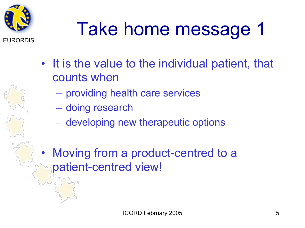

# Take home message 1

- It is the value to the individual patient, that counts when
	- providing health care services
	- doing research
	- developing new therapeutic options
- Moving from a product-centred to a patient-centred view!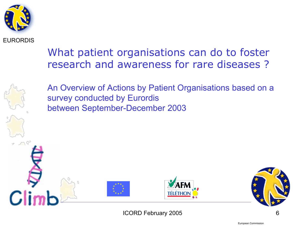

#### What patient organisations can do to foster research and awareness for rare diseases ?



An Overview of Actions by Patient Organisations based on a survey conducted by Eurordis between September-December 2003

ICORD February 2005 6

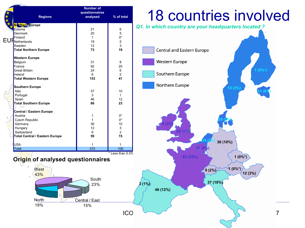|                                   | <b>Regions</b>                   | <b>Number of</b><br>questionnaires<br>analysed | % of total     | <b>18 co</b>      |  |  |
|-----------------------------------|----------------------------------|------------------------------------------------|----------------|-------------------|--|--|
|                                   | Northern Europe                  | 21                                             |                | Q1. In which coun |  |  |
|                                   | Estonia<br>Denmark               | 20                                             | 6<br>5         |                   |  |  |
|                                   |                                  | $\mathbf{1}$                                   | 0*             |                   |  |  |
|                                   | EUFRetherlands                   | 19                                             | 5              |                   |  |  |
|                                   | Sweden                           | 12                                             | 3              |                   |  |  |
|                                   | <b>Total Northern Europe</b>     | 73                                             | 19             | Central and       |  |  |
|                                   |                                  |                                                |                |                   |  |  |
|                                   | <b>Western Europe</b><br>Belgium | 31                                             | 8              | Western Eur       |  |  |
|                                   | France                           | 92                                             | 25             |                   |  |  |
|                                   | <b>Great Britain</b>             | 24                                             | 6              |                   |  |  |
|                                   | Ireland                          | 6                                              | $\overline{2}$ | Southern Eu       |  |  |
|                                   | Total Western Europe             | 153                                            | 41             |                   |  |  |
|                                   |                                  |                                                |                | Northern Eu       |  |  |
|                                   | Southern Europe                  | 37                                             | 10             |                   |  |  |
|                                   | Italy<br>Portugal                | 3                                              | $\mathbf{1}$   |                   |  |  |
|                                   | Spain                            | 46                                             | 12             |                   |  |  |
|                                   | <b>Total Southern Europe</b>     | 86                                             | 23             |                   |  |  |
|                                   |                                  |                                                |                |                   |  |  |
|                                   | Central / Eastern Europe         |                                                |                |                   |  |  |
|                                   | Austria                          | $\mathbf{1}$                                   | 0*             |                   |  |  |
|                                   | Czech Republic                   | $\mathbf{1}$                                   | 0*             |                   |  |  |
|                                   | Germany                          | 36                                             | 10             |                   |  |  |
|                                   | Hungary                          | 12                                             | 3              |                   |  |  |
|                                   | Switzerland                      | 9                                              | $\overline{2}$ |                   |  |  |
|                                   | Total Central / Eastern Europe   | 59                                             | 15             |                   |  |  |
|                                   | <b>USA</b>                       | $\mathbf{1}$                                   | 1              |                   |  |  |
|                                   | Total                            | 372                                            | 100            |                   |  |  |
| * Less than 0.5%                  |                                  |                                                |                |                   |  |  |
| Origin of analysed questionnaires |                                  |                                                |                |                   |  |  |
|                                   | Ó<br>West<br>43%                 |                                                |                |                   |  |  |
|                                   | Ó                                | South                                          |                |                   |  |  |
|                                   |                                  | 23%                                            |                | 3(1%)             |  |  |
|                                   |                                  |                                                |                |                   |  |  |
|                                   |                                  |                                                |                | 46 (12%)          |  |  |
|                                   |                                  |                                                |                |                   |  |  |
|                                   | <b>North</b>                     | Central / East                                 |                |                   |  |  |
|                                   | 19%                              | 15%                                            |                |                   |  |  |
|                                   |                                  |                                                |                |                   |  |  |
|                                   | <b>ICO</b>                       |                                                |                |                   |  |  |
|                                   |                                  |                                                |                |                   |  |  |

### **auntries involved**

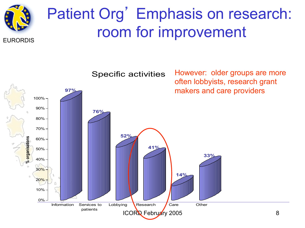

## Patient Org' Emphasis on research: room for improvement

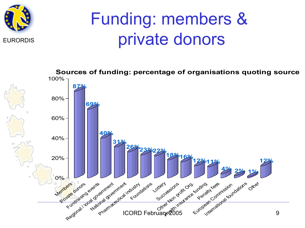

# Funding: members & private donors

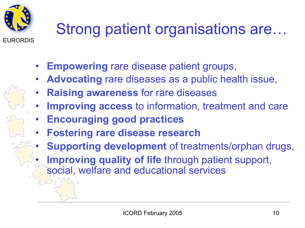

# Strong patient organisations are…

- **Empowering** rare disease patient groups,
	- **Advocating** rare diseases as a public health issue,
- **Raising awareness** for rare diseases
- **Improving access to information, treatment and care**
- **Encouraging good practices**
- **Fostering rare disease research**
- **Supporting development** of treatments/orphan drugs,
- **Improving quality of life** through patient support, social, welfare and educational services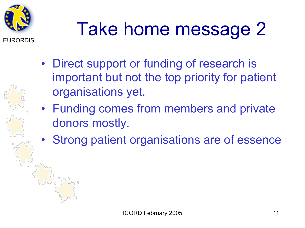

# Take home message 2

- Direct support or funding of research is important but not the top priority for patient organisations yet.
- Funding comes from members and private donors mostly.
- Strong patient organisations are of essence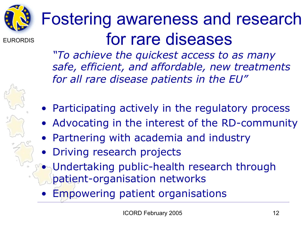

EURORDIS Fostering awareness and research for rare diseases

> *"To achieve the quickest access to as many safe, efficient, and affordable, new treatments for all rare disease patients in the EU"*

- Participating actively in the regulatory process
- Advocating in the interest of the RD-community
- Partnering with academia and industry
- Driving research projects
- Undertaking public-health research through patient-organisation networks
	- **Empowering patient organisations**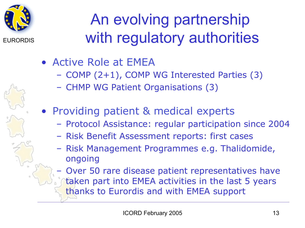

# An evolving partnership with regulatory authorities

- Active Role at EMEA
	- COMP (2+1), COMP WG Interested Parties (3)
	- CHMP WG Patient Organisations (3)
- Providing patient & medical experts
	- Protocol Assistance: regular participation since 2004
	- Risk Benefit Assessment reports: first cases
	- Risk Management Programmes e.g. Thalidomide, ongoing
	- Over 50 rare disease patient representatives have
		- taken part into EMEA activities in the last 5 years thanks to Eurordis and with EMEA support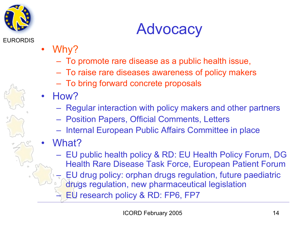

### **Advocacy**

- EURORDIS
- Why?
	- To promote rare disease as a public health issue,
	- To raise rare diseases awareness of policy makers
	- To bring forward concrete proposals
- How?
	- Regular interaction with policy makers and other partners
	- Position Papers, Official Comments, Letters
	- Internal European Public Affairs Committee in place
- What?
	- EU public health policy & RD: EU Health Policy Forum, DG Health Rare Disease Task Force, European Patient Forum
		- EU drug policy: orphan drugs regulation, future paediatric
		- drugs regulation, new pharmaceutical legislation
		- EU research policy & RD: FP6, FP7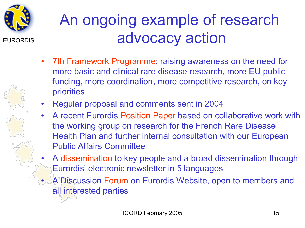

## An ongoing example of research advocacy action

- 7th Framework Programme: raising awareness on the need for more basic and clinical rare disease research, more EU public funding, more coordination, more competitive research, on key priorities
- Regular proposal and comments sent in 2004
- A recent Eurordis Position Paper based on collaborative work with the working group on research for the French Rare Disease Health Plan and further internal consultation with our European Public Affairs Committee
- A dissemination to key people and a broad dissemination through Eurordis' electronic newsletter in 5 languages
- A Discussion Forum on Eurordis Website, open to members and all interested parties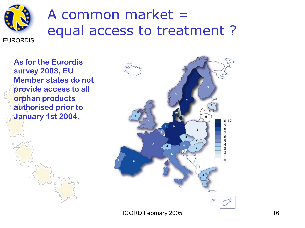

### A common market = equal access to treatment ?

**As for the Eurordis survey 2003, EU Member states do not provide access to all orphan products authorised prior to January 1st 2004.**

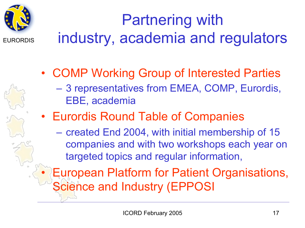

Partnering with industry, academia and regulators

- COMP Working Group of Interested Parties
	- 3 representatives from EMEA, COMP, Eurordis, EBE, academia
- Eurordis Round Table of Companies
	- created End 2004, with initial membership of 15 companies and with two workshops each year on targeted topics and regular information,
- European Platform for Patient Organisations, Science and Industry (EPPOSI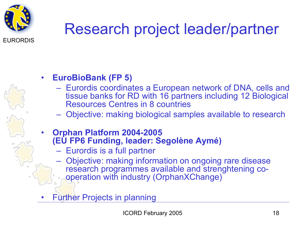

# Research project leader/partner

#### • **EuroBioBank (FP 5)**

- Eurordis coordinates a European network of DNA, cells and tissue banks for RD with 16 partners including 12 Biological Resources Centres in 8 countries
- Objective: making biological samples available to research
- **Orphan Platform 2004-2005 (EU FP6 Funding, leader: Segolène Aymé)** 
	- Eurordis is a full partner
	- Objective: making information on ongoing rare disease research programmes available and strenghtening cooperation with industry (OrphanXChange)
- **Further Projects in planning**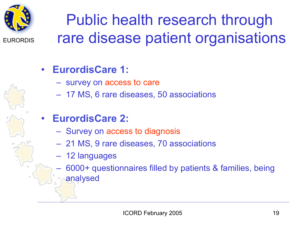

# Public health research through rare disease patient organisations

### • **EurordisCare 1:**

- survey on access to care
- 17 MS, 6 rare diseases, 50 associations
- **EurordisCare 2:** 
	- Survey on access to diagnosis
	- 21 MS, 9 rare diseases, 70 associations
	- 12 languages
	- 6000+ questionnaires filled by patients & families, being analysed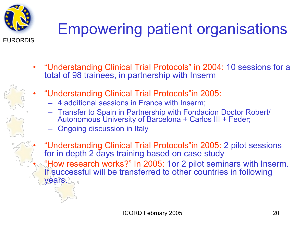

# Empowering patient organisations

- "Understanding Clinical Trial Protocols" in 2004: 10 sessions for a total of 98 trainees, in partnership with Inserm
- 
- "Understanding Clinical Trial Protocols"in 2005:
	- 4 additional sessions in France with Inserm;
	- Transfer to Spain in Partnership with Fondacion Doctor Robert/ Autonomous University of Barcelona + Carlos III + Feder;
	- Ongoing discussion in Italy
- "Understanding Clinical Trial Protocols"in 2005: 2 pilot sessions for in depth 2 days training based on case study • **"How research works?" In 2005: 1or 2 pilot seminars with Inserm.** If successful will be transferred to other countries in following years.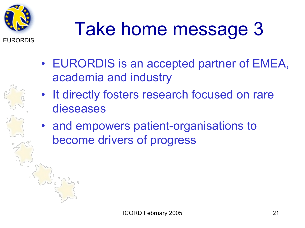

# Take home message 3

- EURORDIS is an accepted partner of EMEA, academia and industry
- It directly fosters research focused on rare dieseases
- and empowers patient-organisations to become drivers of progress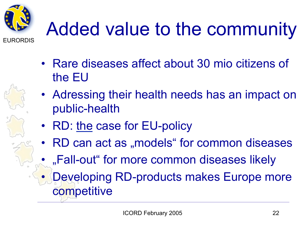

# Added value to the community

- Rare diseases affect about 30 mio citizens of the EU
- Adressing their health needs has an impact on public-health
- RD: the case for EU-policy
- RD can act as "models" for common diseases
	- "Fall-out" for more common diseases likely
- Developing RD-products makes Europe more competitive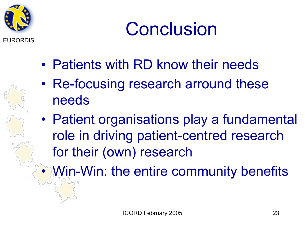

# **Conclusion**

- Patients with RD know their needs
- Re-focusing research arround these needs
- Patient organisations play a fundamental role in driving patient-centred research for their (own) research

• Win-Win: the entire community benefits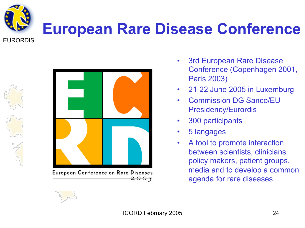

# **European Rare Disease Conference**

EURORDIS



**European Conference on Rare Diseases**  $2005$ 

- 3rd European Rare Disease Conference (Copenhagen 2001, Paris 2003)
- 21-22 June 2005 in Luxemburg
- Commission DG Sanco/EU Presidency/Eurordis
- 300 participants
- 5 langages
- A tool to promote interaction between scientists, clinicians, policy makers, patient groups, media and to develop a common agenda for rare diseases